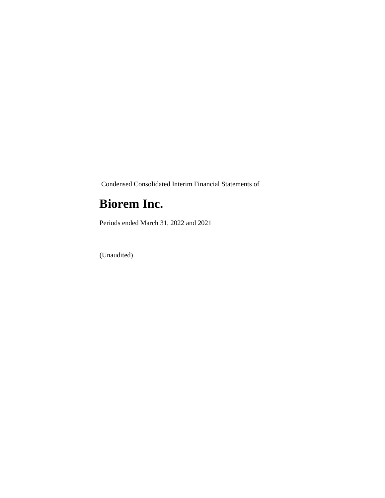Condensed Consolidated Interim Financial Statements of

### **Biorem Inc.**

Periods ended March 31, 2022 and 2021

(Unaudited)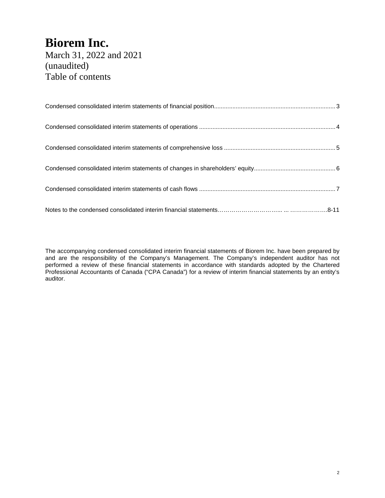March 31, 2022 and 2021 (unaudited) Table of contents

The accompanying condensed consolidated interim financial statements of Biorem Inc. have been prepared by and are the responsibility of the Company's Management. The Company's independent auditor has not performed a review of these financial statements in accordance with standards adopted by the Chartered Professional Accountants of Canada ("CPA Canada") for a review of interim financial statements by an entity's auditor.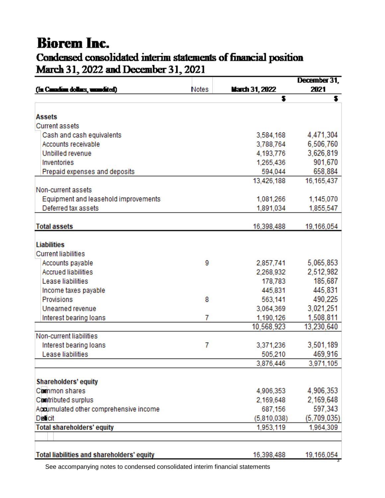### **Biorem Inc.** Condensed consolidated interim statements of financial position March 31, 2022 and December 31, 2021

|                                                   |       |                       | December 31, |
|---------------------------------------------------|-------|-----------------------|--------------|
| (In Canadian dollars, unandited)                  | Notes | <b>March 31, 2022</b> | 2021         |
|                                                   |       | \$                    | s            |
| <b>Assets</b>                                     |       |                       |              |
| <b>Current assets</b>                             |       |                       |              |
| Cash and cash equivalents                         |       | 3,584,168             | 4,471,304    |
| Accounts receivable                               |       | 3,788,764             | 6,506,760    |
| Unbilled revenue                                  |       | 4,193,776             | 3,626,819    |
| Inventories                                       |       | 1,265,436             | 901,670      |
|                                                   |       |                       | 658,884      |
| Prepaid expenses and deposits                     |       | 594,044               |              |
| Non-current assets                                |       | 13,426,188            | 16, 165, 437 |
| Equipment and leasehold improvements              |       | 1,081,266             | 1,145,070    |
| Deferred tax assets                               |       | 1,891,034             | 1,855,547    |
|                                                   |       |                       |              |
| <b>Total assets</b>                               |       | 16,398,488            | 19,166,054   |
|                                                   |       |                       |              |
| <b>Liabilities</b>                                |       |                       |              |
| <b>Current liabilities</b>                        |       |                       |              |
| Accounts payable                                  | 9     | 2,857,741             | 5,065,853    |
| <b>Accrued liabilities</b>                        |       | 2,268,932             | 2,512,982    |
| Lease liabilities                                 |       | 178,783               | 185,687      |
| Income taxes payable                              |       | 445,831               | 445,831      |
| Provisions                                        | 8     | 563,141               | 490,225      |
| Unearned revenue                                  |       | 3,064,369             | 3,021,251    |
| Interest bearing loans                            | 7     | 1,190,126             | 1,508,811    |
|                                                   |       | 10,568,923            | 13,230,640   |
| Non-current liabilities                           |       |                       |              |
| Interest bearing loans                            | 7     | 3,371,236             | 3,501,189    |
| Lease liabilities                                 |       | 505,210               | 469,916      |
|                                                   |       | 3,876,446             | 3,971,105    |
|                                                   |       |                       |              |
| <b>Shareholders' equity</b>                       |       |                       |              |
| Common shares                                     |       | 4,906,353             | 4,906,353    |
| <b>Contributed surplus</b>                        |       | 2,169,648             | 2,169,648    |
| Accumulated other comprehensive income            |       | 687,156               | 597,343      |
| <b>Deficit</b>                                    |       | (5,810,038)           | (5,709,035)  |
| <b>Total shareholders' equity</b>                 |       | 1,953,119             | 1,964,309    |
|                                                   |       |                       |              |
|                                                   |       |                       |              |
| <b>Total liabilities and shareholders' equity</b> |       | 16,398,488            | 19,166,054   |

See accompanying notes to condensed consolidated interim financial statements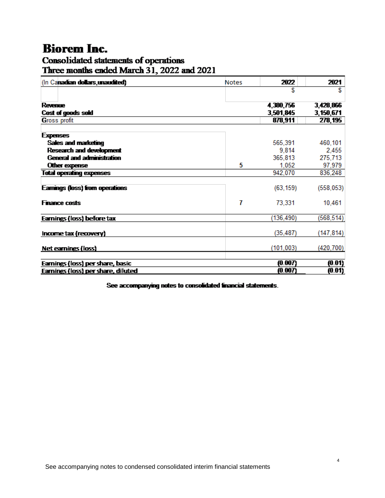# Consolidated statements of operations<br>Three months ended March 31, 2022 and 2021

| (In Canadian dollars, unaudited)      | <b>Notes</b> | 2022       | 2021       |
|---------------------------------------|--------------|------------|------------|
|                                       |              |            | S          |
| <b>Revenue</b>                        |              | 4,380,756  | 3,428,866  |
| Cost of goods sold                    |              | 3,501,845  | 3,150,671  |
| <b>Gross profit</b>                   |              | 878,911    | 278,195    |
| <b>Expenses</b>                       |              |            |            |
| Sales and marketing                   |              | 565,391    | 460,101    |
| <b>Research and development</b>       |              | 9.814      | 2,455      |
| <b>General and administration</b>     |              | 365,813    | 275,713    |
| Other expense                         | 5            | 1,052      | 97,979     |
| <b>Total operating expenses</b>       |              | 942,070    | 836,248    |
|                                       |              |            |            |
| <b>Eamings (loss) from operations</b> |              | (63, 159)  | (558, 053) |
| <b>Finance costs</b>                  | 7            | 73,331     | 10,461     |
| Earnings (loss) before tax            |              | (136, 490) | (568, 514) |
| Income tax (recovery)                 |              | (35, 487)  | (147,814)  |
| Net earnings (loss)                   |              | (101, 003) | (420, 700) |
| Earnings (loss) per share, basic      |              | (0.007)    | (0.01)     |
| Earnings (loss) per share, diluted    |              | (0.007)    | (0.01)     |

See accompanying notes to consolidated financial statements.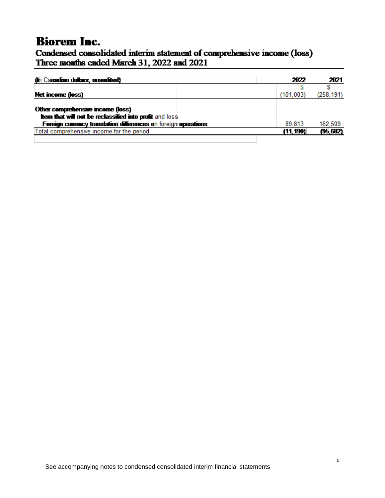### Condensed consolidated interim statement of comprehensive income (loss) Three months ended March 31, 2022 and 2021

| (In Canadian dollars, unaudited)                                                                                                                                      | 2022       | 2021       |
|-----------------------------------------------------------------------------------------------------------------------------------------------------------------------|------------|------------|
|                                                                                                                                                                       |            |            |
| Net income (loss)                                                                                                                                                     | (101, 003) | (258, 191) |
| Other comprehensive income (loss)<br><b>them that will not be reclassified into profit</b> and loss<br>Foreign currency translation differences on foreign operations | 89.813     | 162,509    |
|                                                                                                                                                                       |            |            |
| Total comprehensive income for the period                                                                                                                             | (11, 190)  | (95, 682)  |
|                                                                                                                                                                       |            |            |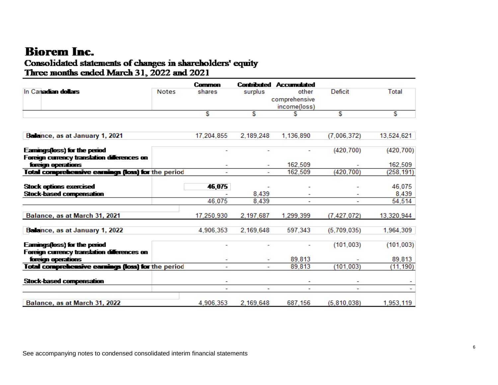### Consolidated statements of changes in shareholders' equity Three months ended March 31, 2022 and 2021

|                                                    |              | Common                   |                | <b>Contributed Accumulated</b> |               |                 |
|----------------------------------------------------|--------------|--------------------------|----------------|--------------------------------|---------------|-----------------|
| In Canadian dollars                                | <b>Notes</b> | shares                   | surplus        | other                          | Deficit       | Total           |
|                                                    |              |                          |                | comprehensive                  |               |                 |
|                                                    |              |                          |                | income(loss)                   |               |                 |
|                                                    |              | £.                       | S.             |                                | £             | £.              |
|                                                    |              |                          |                |                                |               |                 |
| Balance, as at January 1, 2021                     |              | 17,204,855               | 2,189,248      | 1,136,890                      | (7,006,372)   | 13,524,621      |
| <b>Eamings(loss) for the period</b>                |              |                          |                |                                | (420, 700)    | (420, 700)      |
| Foreign currency translation differences on        |              |                          |                |                                |               |                 |
| foreign operations                                 |              |                          |                | 162,509                        |               | 162,509         |
| Total comprehensive earnings (loss) for the period |              |                          |                | 162,509                        | (420.700)     | (258,191)       |
|                                                    |              |                          |                |                                |               |                 |
| <b>Stock options exercised</b>                     |              | 46,075                   |                |                                |               | 46,075          |
| <b>Stock-based compensation</b>                    |              | 46,075                   | 8,439<br>8.439 |                                |               | 8,439<br>54,514 |
|                                                    |              |                          |                |                                |               |                 |
| Balance, as at March 31, 2021                      |              | 17.250.930               | 2,197,687      | 1,299,399                      | (7, 427, 072) | 13,320,944      |
| Balance, as at January 1, 2022                     |              | 4.906.353                | 2,169,648      | 597,343                        | (5,709,035)   | 1,964,309       |
| <b>Eamings(loss) for the period</b>                |              |                          |                |                                | (101, 003)    | (101, 003)      |
| Foreign currency translation differences on        |              |                          |                |                                |               |                 |
| foreign operations                                 |              |                          |                | 89.813                         |               | 89.813          |
| Total comprehensive earnings (loss) for the period |              |                          |                | 89,813                         | (101, 003)    | (11, 190)       |
| <b>Stock-based compensation</b>                    |              |                          |                |                                |               |                 |
|                                                    |              | $\overline{\phantom{0}}$ | ÷              | $\overline{\phantom{0}}$       | ۰             |                 |
|                                                    |              |                          |                |                                |               |                 |
| Balance, as at March 31, 2022                      |              | 4,906,353                | 2,169,648      | 687,156                        | (5, 810, 038) | 1,953,119       |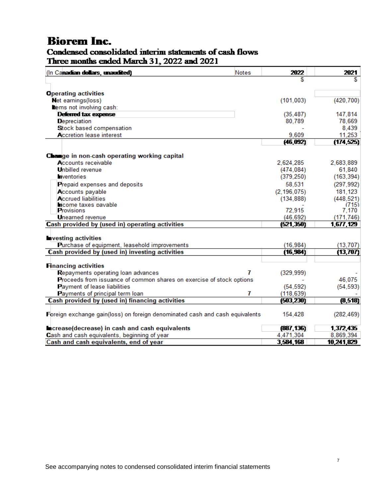### Condensed consolidated interim statements of cash flows Three months ended March 31, 2022 and 2021

| (In Canadian dollars, unaudited)                                             | <b>Notes</b> | 2022          | 2021       |
|------------------------------------------------------------------------------|--------------|---------------|------------|
|                                                                              |              |               | S          |
|                                                                              |              |               |            |
| <b>Operating activities</b>                                                  |              |               |            |
| <b>Net earnings(loss)</b><br>tems not involving cash:                        |              | (101, 003)    | (420, 700) |
| Deferred tax expense                                                         |              | (35, 487)     | 147,814    |
| Depreciation                                                                 |              | 80,789        | 78,669     |
| Stock based compensation                                                     |              |               | 8,439      |
| Accretion lease interest                                                     |              | 9.609         | 11.253     |
|                                                                              |              | (46, 092)     | (174, 525) |
|                                                                              |              |               |            |
| <b>Change in non-cash operating working capital</b>                          |              |               |            |
| Accounts receivable                                                          |              | 2,624,285     | 2,683,889  |
| <b>Unbilled</b> revenue                                                      |              | (474, 084)    | 61,840     |
| <b>Tyentories</b>                                                            |              | (379, 250)    | (163, 394) |
| Prepaid expenses and deposits                                                |              | 58,531        | (297, 992) |
| Accounts payable                                                             |              | (2, 196, 075) | 181,123    |
| <b>Accrued liabilities</b>                                                   |              | (134, 888)    | (448, 521) |
| ncome taxes pavable                                                          |              |               | (715)      |
| <b>Provisions</b>                                                            |              | 72,915        | 7,170      |
| <b>Unearned revenue</b>                                                      |              | (46, 692)     | (171, 746) |
| Cash provided by (used in) operating activities                              |              | (521,350)     | 1,677,129  |
|                                                                              |              |               |            |
| <b>nvesting activities</b><br>Purchase of equipment, leasehold improvements  |              | (16, 984)     | (13, 707)  |
| Cash provided by (used in) investing activities                              |              | (16, 984)     | (13, 707)  |
|                                                                              |              |               |            |
| <b>Financing activities</b>                                                  |              |               |            |
| Repayments operating loan advances                                           | 7            | (329, 999)    |            |
| Proceeds from issuance of common shares on exercise of stock options         |              |               | 46,075     |
| <b>Payment of lease liabilities</b>                                          |              | (54, 592)     | (54, 593)  |
| Payments of principal term loan                                              | 7            | (118, 639)    |            |
| Cash provided by (used in) financing activities                              |              | (503, 230)    | (8, 518)   |
|                                                                              |              |               |            |
| Foreign exchange gain(loss) on foreign denominated cash and cash equivalents |              | 154,428       | (282, 469) |
| ncrease(decrease) in cash and cash equivalents                               |              | (887, 136)    | 1,372,435  |
| Cash and cash equivalents, beginning of year                                 |              | 4,471,304     | 8,869,394  |
| Cash and cash equivalents, end of year                                       |              | 3,584,168     | 10,241,829 |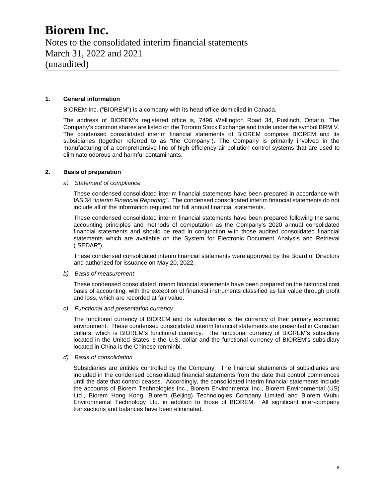Notes to the consolidated interim financial statements March 31, 2022 and 2021 (unaudited)

#### **1. General information**

BIOREM Inc. ("BIOREM") is a company with its head office domiciled in Canada.

The address of BIOREM's registered office is, 7496 Wellington Road 34, Puslinch, Ontario. The Company's common shares are listed on the Toronto Stock Exchange and trade under the symbol BRM.V. The condensed consolidated interim financial statements of BIOREM comprise BIOREM and its subsidiaries (together referred to as "the Company"). The Company is primarily involved in the manufacturing of a comprehensive line of high efficiency air pollution control systems that are used to eliminate odorous and harmful contaminants.

#### **2. Basis of preparation**

#### *a) Statement of compliance*

These condensed consolidated interim financial statements have been prepared in accordance with IAS 34 "*Interim Financial Reporting*". The condensed consolidated interim financial statements do not include all of the information required for full annual financial statements.

These condensed consolidated interim financial statements have been prepared following the same accounting principles and methods of computation as the Company's 2020 annual consolidated financial statements and should be read in conjunction with those audited consolidated financial statements which are available on the System for Electronic Document Analysis and Retrieval ("SEDAR").

These condensed consolidated interim financial statements were approved by the Board of Directors and authorized for issuance on May 20, 2022.

*b) Basis of measurement* 

These condensed consolidated interim financial statements have been prepared on the historical cost basis of accounting, with the exception of financial instruments classified as fair value through profit and loss, which are recorded at fair value.

*c) Functional and presentation currency* 

The functional currency of BIOREM and its subsidiaries is the currency of their primary economic environment. These condensed consolidated interim financial statements are presented in Canadian dollars, which is BIOREM's functional currency. The functional currency of BIOREM's subsidiary located in the United States is the U.S. dollar and the functional currency of BIOREM's subsidiary located in China is the Chinese renminbi.

*d) Basis of consolidation* 

Subsidiaries are entities controlled by the Company. The financial statements of subsidiaries are included in the condensed consolidated financial statements from the date that control commences until the date that control ceases. Accordingly, the consolidated interim financial statements include the accounts of Biorem Technologies Inc., Biorem Environmental Inc., Biorem Environmental (US) Ltd., Biorem Hong Kong, Biorem (Beijing) Technologies Company Limited and Biorem Wuhu Environmental Technology Ltd. in addition to those of BIOREM. All significant inter-company transactions and balances have been eliminated.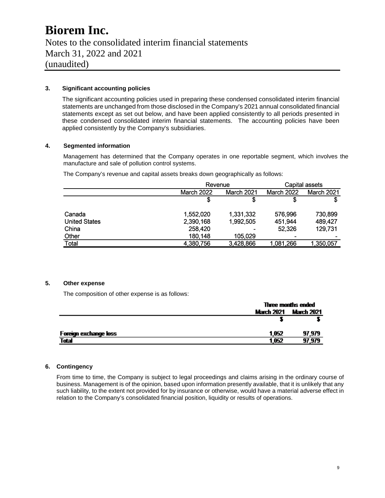Notes to the consolidated interim financial statements March 31, 2022 and 2021 (unaudited)

#### **3. Significant accounting policies**

The significant accounting policies used in preparing these condensed consolidated interim financial statements are unchanged from those disclosed in the Company's 2021 annual consolidated financial statements except as set out below, and have been applied consistently to all periods presented in these condensed consolidated interim financial statements. The accounting policies have been applied consistently by the Company's subsidiaries.

#### **4. Segmented information**

Management has determined that the Company operates in one reportable segment, which involves the manufacture and sale of pollution control systems.

The Company's revenue and capital assets breaks down geographically as follows:

|                      |                   | Revenue    |                          | Capital assets |
|----------------------|-------------------|------------|--------------------------|----------------|
|                      | <b>March 2022</b> | March 2021 | <b>March 2022</b>        | March 2021     |
|                      |                   | S          | \$                       | S              |
| Canada               | 1,552,020         | 1,331,332  | 576,996                  | 730,899        |
| <b>United States</b> | 2,390,168         | 1,992,505  | 451,944                  | 489,427        |
| China                | 258,420           |            | 52,326                   | 129,731        |
| Other                | 180,148           | 105,029    | $\overline{\phantom{0}}$ |                |
| Total                | 4,380,756         | 3,428,866  | 1,081,266                | 1,350,057      |

#### **5. Other expense**

The composition of other expense is as follows:

|                       |                   | Three months ended |
|-----------------------|-------------------|--------------------|
|                       | <b>March 2021</b> | <b>March 2021</b>  |
|                       |                   |                    |
| Foreign exchange loss | 1.052             | 97.979             |
| Total                 | 1.052             | 97,979             |

#### **6. Contingency**

From time to time, the Company is subject to legal proceedings and claims arising in the ordinary course of business. Management is of the opinion, based upon information presently available, that it is unlikely that any such liability, to the extent not provided for by insurance or otherwise, would have a material adverse effect in relation to the Company's consolidated financial position, liquidity or results of operations.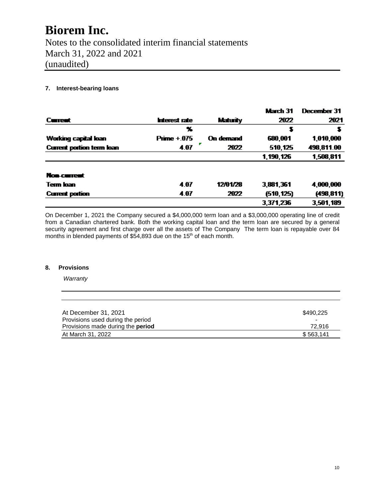Notes to the consolidated interim financial statements March 31, 2022 and 2021 (unaudited)

#### **7. Interest-bearing loans**

|                                  |               |           | March 31   | December 31 |
|----------------------------------|---------------|-----------|------------|-------------|
| Current                          | Interest rate | Maturity  | 2022       | 2021        |
|                                  | x             |           | s          |             |
| Working capital loan             | $Prime + 075$ | On demand | 680,001    | 1,010,000   |
| <b>Current portion term loan</b> | 4.07          | 2022      | 510,125    | 498,811.00  |
|                                  |               |           | 1,190,126  | 1,508,811   |
| Non-current                      |               |           |            |             |
| <b>Term loan</b>                 | 4.07          | 12/01/28  | 3,881,361  | 4,000,000   |
| <b>Current portion</b>           | 4.07          | 2022      | (510, 125) | (498, 811)  |
|                                  |               |           | 3,371,236  | 3,501,189   |
|                                  |               |           |            |             |

On December 1, 2021 the Company secured a \$4,000,000 term loan and a \$3,000,000 operating line of credit from a Canadian chartered bank. Both the working capital loan and the term loan are secured by a general security agreement and first charge over all the assets of The Company The term loan is repayable over 84 months in blended payments of \$54,893 due on the 15<sup>th</sup> of each month.

#### **8. Provisions**

*Warranty* 

| At December 31, 2021                     | \$490.225 |
|------------------------------------------|-----------|
| Provisions used during the period        | $\,$      |
| Provisions made during the <b>period</b> | 72.916    |
| At March 31, 2022                        | \$563.141 |